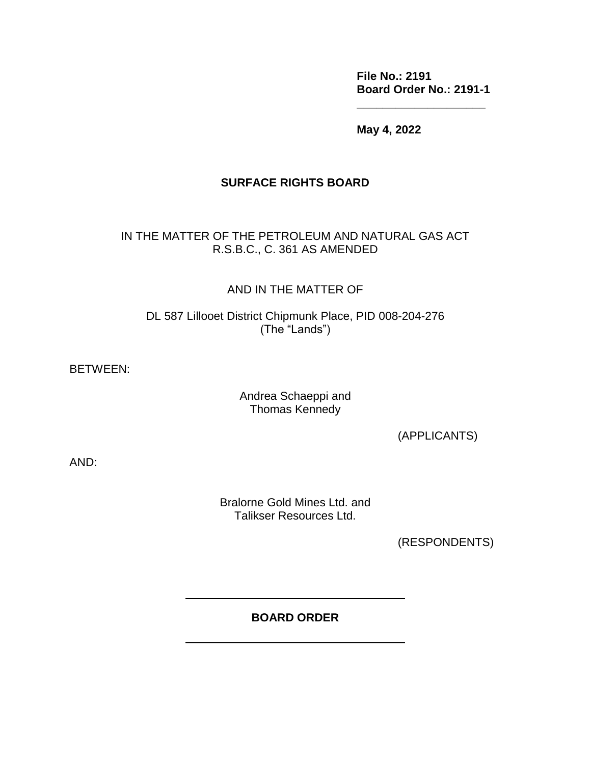**File No.: 2191 Board Order No.: 2191-1**

**\_\_\_\_\_\_\_\_\_\_\_\_\_\_\_\_\_\_\_\_**

**May 4, 2022**

#### **SURFACE RIGHTS BOARD**

#### IN THE MATTER OF THE PETROLEUM AND NATURAL GAS ACT R.S.B.C., C. 361 AS AMENDED

#### AND IN THE MATTER OF

DL 587 Lillooet District Chipmunk Place, PID 008-204-276 (The "Lands")

BETWEEN:

#### Andrea Schaeppi and Thomas Kennedy

(APPLICANTS)

AND:

Bralorne Gold Mines Ltd. and Talikser Resources Ltd.

(RESPONDENTS)

### **BOARD ORDER**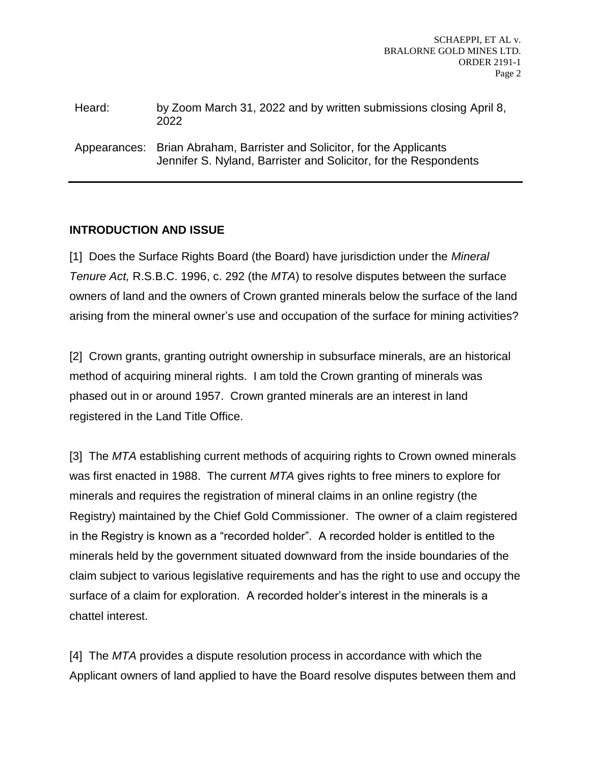| Heard: | by Zoom March 31, 2022 and by written submissions closing April 8, |
|--------|--------------------------------------------------------------------|
|        | 2022                                                               |
|        |                                                                    |

Appearances: Brian Abraham, Barrister and Solicitor, for the Applicants Jennifer S. Nyland, Barrister and Solicitor, for the Respondents

# **INTRODUCTION AND ISSUE**

[1] Does the Surface Rights Board (the Board) have jurisdiction under the *Mineral Tenure Act,* R.S.B.C. 1996, c. 292 (the *MTA*) to resolve disputes between the surface owners of land and the owners of Crown granted minerals below the surface of the land arising from the mineral owner's use and occupation of the surface for mining activities?

[2] Crown grants, granting outright ownership in subsurface minerals, are an historical method of acquiring mineral rights. I am told the Crown granting of minerals was phased out in or around 1957. Crown granted minerals are an interest in land registered in the Land Title Office.

[3] The *MTA* establishing current methods of acquiring rights to Crown owned minerals was first enacted in 1988. The current *MTA* gives rights to free miners to explore for minerals and requires the registration of mineral claims in an online registry (the Registry) maintained by the Chief Gold Commissioner. The owner of a claim registered in the Registry is known as a "recorded holder". A recorded holder is entitled to the minerals held by the government situated downward from the inside boundaries of the claim subject to various legislative requirements and has the right to use and occupy the surface of a claim for exploration. A recorded holder's interest in the minerals is a chattel interest.

[4] The *MTA* provides a dispute resolution process in accordance with which the Applicant owners of land applied to have the Board resolve disputes between them and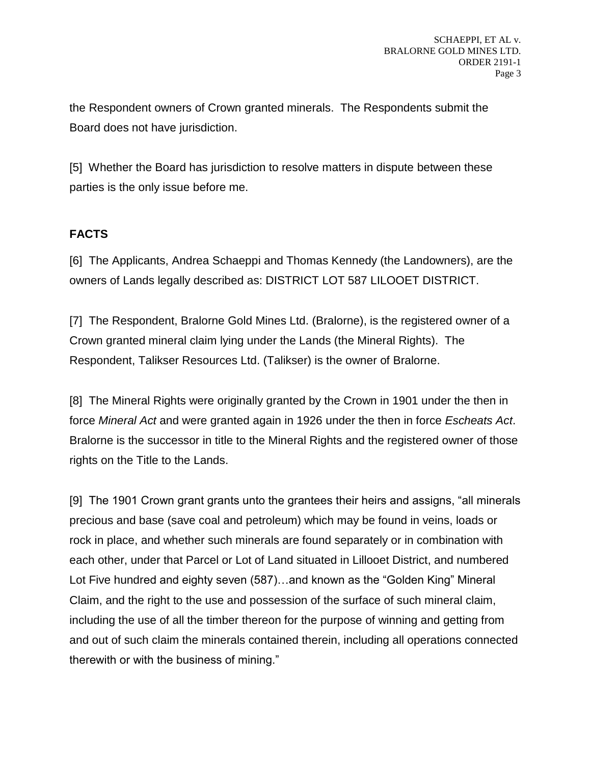the Respondent owners of Crown granted minerals. The Respondents submit the Board does not have jurisdiction.

[5] Whether the Board has jurisdiction to resolve matters in dispute between these parties is the only issue before me.

# **FACTS**

[6] The Applicants, Andrea Schaeppi and Thomas Kennedy (the Landowners), are the owners of Lands legally described as: DISTRICT LOT 587 LILOOET DISTRICT.

[7] The Respondent, Bralorne Gold Mines Ltd. (Bralorne), is the registered owner of a Crown granted mineral claim lying under the Lands (the Mineral Rights). The Respondent, Talikser Resources Ltd. (Talikser) is the owner of Bralorne.

[8] The Mineral Rights were originally granted by the Crown in 1901 under the then in force *Mineral Act* and were granted again in 1926 under the then in force *Escheats Act*. Bralorne is the successor in title to the Mineral Rights and the registered owner of those rights on the Title to the Lands.

[9] The 1901 Crown grant grants unto the grantees their heirs and assigns, "all minerals precious and base (save coal and petroleum) which may be found in veins, loads or rock in place, and whether such minerals are found separately or in combination with each other, under that Parcel or Lot of Land situated in Lillooet District, and numbered Lot Five hundred and eighty seven (587)…and known as the "Golden King" Mineral Claim, and the right to the use and possession of the surface of such mineral claim, including the use of all the timber thereon for the purpose of winning and getting from and out of such claim the minerals contained therein, including all operations connected therewith or with the business of mining."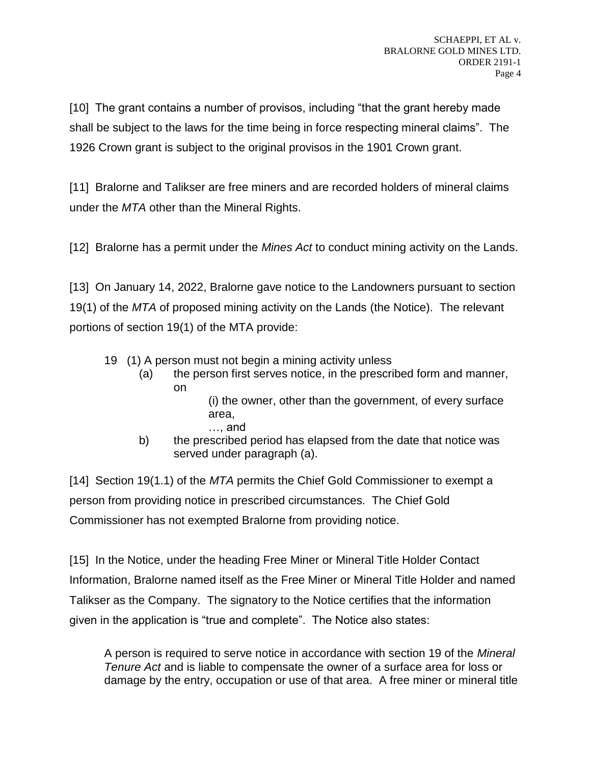[10] The grant contains a number of provisos, including "that the grant hereby made shall be subject to the laws for the time being in force respecting mineral claims". The 1926 Crown grant is subject to the original provisos in the 1901 Crown grant.

[11] Bralorne and Talikser are free miners and are recorded holders of mineral claims under the *MTA* other than the Mineral Rights.

[12] Bralorne has a permit under the *Mines Act* to conduct mining activity on the Lands.

[13] On January 14, 2022, Bralorne gave notice to the Landowners pursuant to section 19(1) of the *MTA* of proposed mining activity on the Lands (the Notice). The relevant portions of section 19(1) of the MTA provide:

- 19 (1) A person must not begin a mining activity unless
	- (a) the person first serves notice, in the prescribed form and manner, on
		- (i) the owner, other than the government, of every surface area,
		- …, and
	- b) the prescribed period has elapsed from the date that notice was served under paragraph (a).

[14] Section 19(1.1) of the *MTA* permits the Chief Gold Commissioner to exempt a person from providing notice in prescribed circumstances. The Chief Gold Commissioner has not exempted Bralorne from providing notice.

[15] In the Notice, under the heading Free Miner or Mineral Title Holder Contact Information, Bralorne named itself as the Free Miner or Mineral Title Holder and named Talikser as the Company. The signatory to the Notice certifies that the information given in the application is "true and complete". The Notice also states:

A person is required to serve notice in accordance with section 19 of the *Mineral Tenure Act* and is liable to compensate the owner of a surface area for loss or damage by the entry, occupation or use of that area. A free miner or mineral title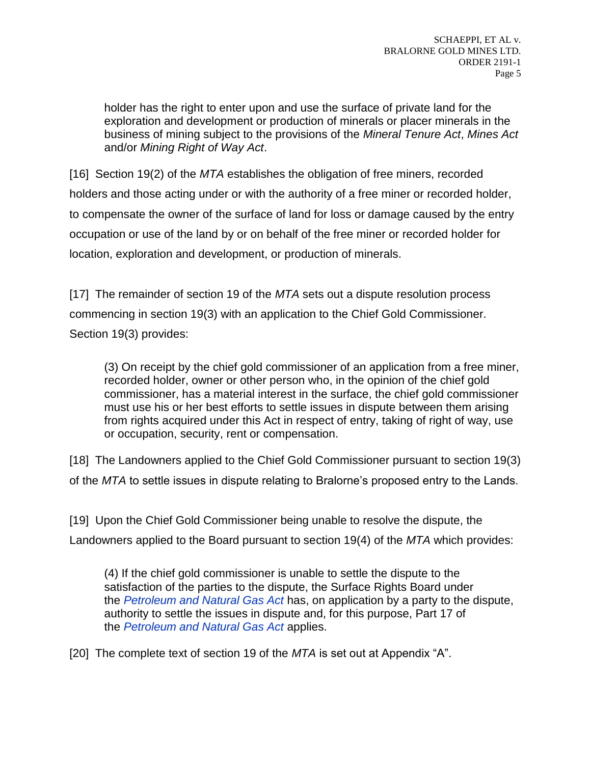holder has the right to enter upon and use the surface of private land for the exploration and development or production of minerals or placer minerals in the business of mining subject to the provisions of the *Mineral Tenure Act*, *Mines Act* and/or *Mining Right of Way Act*.

[16] Section 19(2) of the *MTA* establishes the obligation of free miners, recorded holders and those acting under or with the authority of a free miner or recorded holder, to compensate the owner of the surface of land for loss or damage caused by the entry occupation or use of the land by or on behalf of the free miner or recorded holder for location, exploration and development, or production of minerals.

[17] The remainder of section 19 of the *MTA* sets out a dispute resolution process commencing in section 19(3) with an application to the Chief Gold Commissioner. Section 19(3) provides:

(3) On receipt by the chief gold commissioner of an application from a free miner, recorded holder, owner or other person who, in the opinion of the chief gold commissioner, has a material interest in the surface, the chief gold commissioner must use his or her best efforts to settle issues in dispute between them arising from rights acquired under this Act in respect of entry, taking of right of way, use or occupation, security, rent or compensation.

[18] The Landowners applied to the Chief Gold Commissioner pursuant to section 19(3) of the *MTA* to settle issues in dispute relating to Bralorne's proposed entry to the Lands.

[19] Upon the Chief Gold Commissioner being unable to resolve the dispute, the Landowners applied to the Board pursuant to section 19(4) of the *MTA* which provides:

(4) If the chief gold commissioner is unable to settle the dispute to the satisfaction of the parties to the dispute, the Surface Rights Board under the *[Petroleum and Natural Gas Act](https://www.bclaws.gov.bc.ca/civix/document/id/complete/statreg/96361_01)* has, on application by a party to the dispute, authority to settle the issues in dispute and, for this purpose, Part 17 of the *[Petroleum and Natural Gas Act](https://www.bclaws.gov.bc.ca/civix/document/id/complete/statreg/96361_01)* applies.

[20] The complete text of section 19 of the *MTA* is set out at Appendix "A".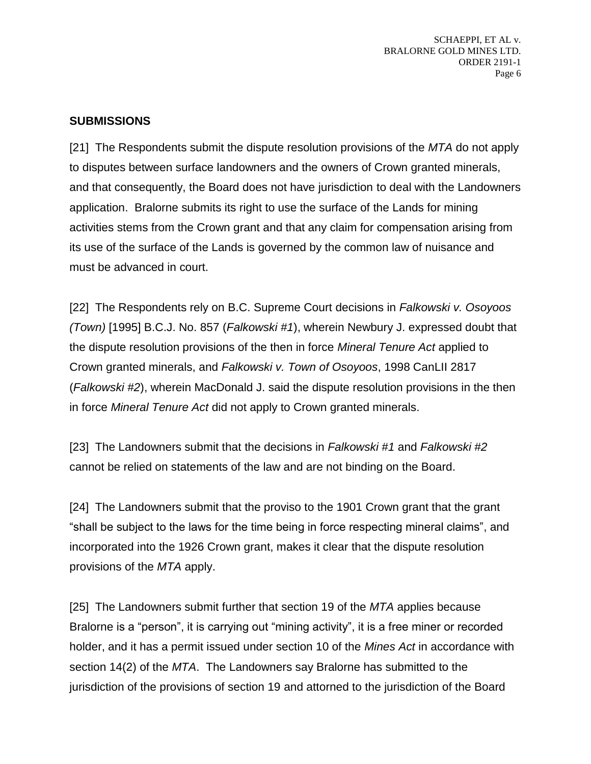SCHAEPPI, ET AL v. BRALORNE GOLD MINES LTD. ORDER 2191-1 Page 6

#### **SUBMISSIONS**

[21] The Respondents submit the dispute resolution provisions of the *MTA* do not apply to disputes between surface landowners and the owners of Crown granted minerals, and that consequently, the Board does not have jurisdiction to deal with the Landowners application. Bralorne submits its right to use the surface of the Lands for mining activities stems from the Crown grant and that any claim for compensation arising from its use of the surface of the Lands is governed by the common law of nuisance and must be advanced in court.

[22] The Respondents rely on B.C. Supreme Court decisions in *Falkowski v. Osoyoos (Town)* [1995] B.C.J. No. 857 (*Falkowski #1*), wherein Newbury J. expressed doubt that the dispute resolution provisions of the then in force *Mineral Tenure Act* applied to Crown granted minerals, and *Falkowski v. Town of Osoyoos*, 1998 CanLII 2817 (*Falkowski #2*), wherein MacDonald J. said the dispute resolution provisions in the then in force *Mineral Tenure Act* did not apply to Crown granted minerals.

[23] The Landowners submit that the decisions in *Falkowski #1* and *Falkowski #2* cannot be relied on statements of the law and are not binding on the Board.

[24] The Landowners submit that the proviso to the 1901 Crown grant that the grant "shall be subject to the laws for the time being in force respecting mineral claims", and incorporated into the 1926 Crown grant, makes it clear that the dispute resolution provisions of the *MTA* apply.

[25] The Landowners submit further that section 19 of the *MTA* applies because Bralorne is a "person", it is carrying out "mining activity", it is a free miner or recorded holder, and it has a permit issued under section 10 of the *Mines Act* in accordance with section 14(2) of the *MTA*. The Landowners say Bralorne has submitted to the jurisdiction of the provisions of section 19 and attorned to the jurisdiction of the Board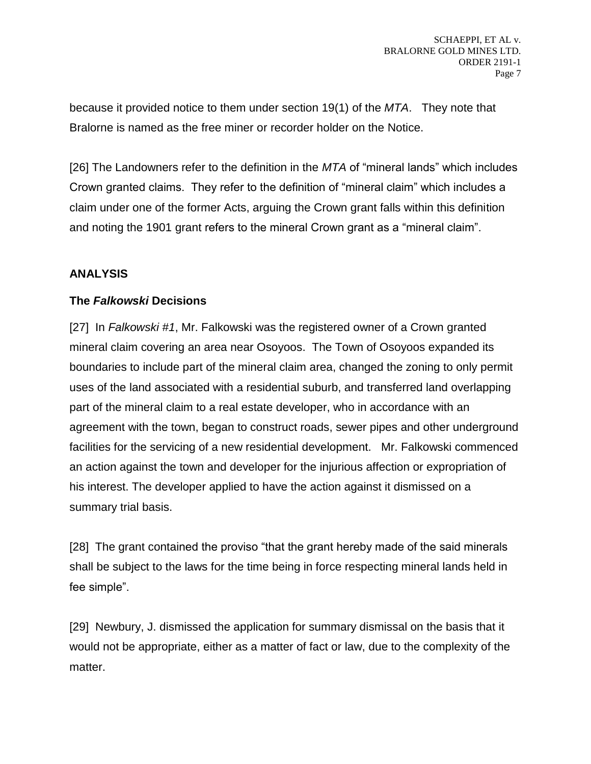because it provided notice to them under section 19(1) of the *MTA*. They note that Bralorne is named as the free miner or recorder holder on the Notice.

[26] The Landowners refer to the definition in the *MTA* of "mineral lands" which includes Crown granted claims. They refer to the definition of "mineral claim" which includes a claim under one of the former Acts, arguing the Crown grant falls within this definition and noting the 1901 grant refers to the mineral Crown grant as a "mineral claim".

# **ANALYSIS**

#### **The** *Falkowski* **Decisions**

[27] In *Falkowski #1*, Mr. Falkowski was the registered owner of a Crown granted mineral claim covering an area near Osoyoos. The Town of Osoyoos expanded its boundaries to include part of the mineral claim area, changed the zoning to only permit uses of the land associated with a residential suburb, and transferred land overlapping part of the mineral claim to a real estate developer, who in accordance with an agreement with the town, began to construct roads, sewer pipes and other underground facilities for the servicing of a new residential development. Mr. Falkowski commenced an action against the town and developer for the injurious affection or expropriation of his interest. The developer applied to have the action against it dismissed on a summary trial basis.

[28] The grant contained the proviso "that the grant hereby made of the said minerals shall be subject to the laws for the time being in force respecting mineral lands held in fee simple".

[29] Newbury, J. dismissed the application for summary dismissal on the basis that it would not be appropriate, either as a matter of fact or law, due to the complexity of the matter.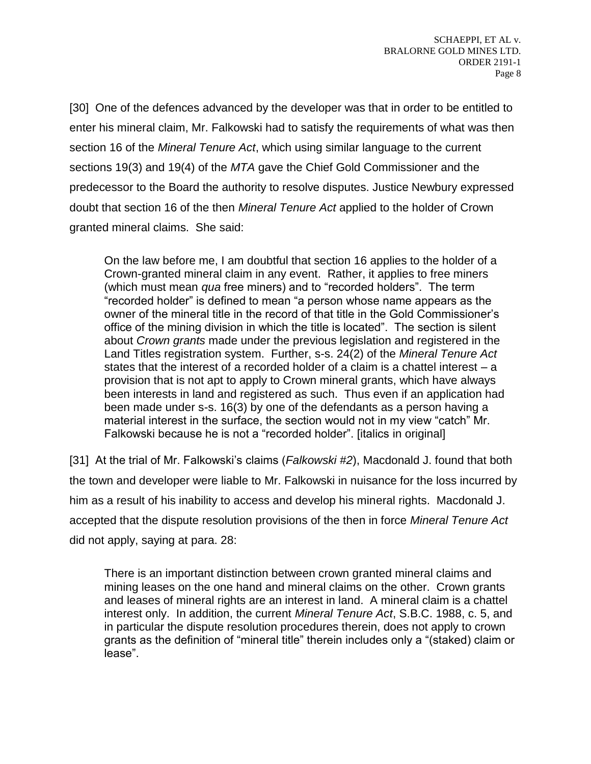[30] One of the defences advanced by the developer was that in order to be entitled to enter his mineral claim, Mr. Falkowski had to satisfy the requirements of what was then section 16 of the *Mineral Tenure Act*, which using similar language to the current sections 19(3) and 19(4) of the *MTA* gave the Chief Gold Commissioner and the predecessor to the Board the authority to resolve disputes. Justice Newbury expressed doubt that section 16 of the then *Mineral Tenure Act* applied to the holder of Crown granted mineral claims. She said:

On the law before me, I am doubtful that section 16 applies to the holder of a Crown-granted mineral claim in any event. Rather, it applies to free miners (which must mean *qua* free miners) and to "recorded holders". The term "recorded holder" is defined to mean "a person whose name appears as the owner of the mineral title in the record of that title in the Gold Commissioner's office of the mining division in which the title is located". The section is silent about *Crown grants* made under the previous legislation and registered in the Land Titles registration system. Further, s-s. 24(2) of the *Mineral Tenure Act* states that the interest of a recorded holder of a claim is a chattel interest – a provision that is not apt to apply to Crown mineral grants, which have always been interests in land and registered as such. Thus even if an application had been made under s-s. 16(3) by one of the defendants as a person having a material interest in the surface, the section would not in my view "catch" Mr. Falkowski because he is not a "recorded holder". [italics in original]

[31] At the trial of Mr. Falkowski's claims (*Falkowski #2*), Macdonald J. found that both the town and developer were liable to Mr. Falkowski in nuisance for the loss incurred by him as a result of his inability to access and develop his mineral rights. Macdonald J. accepted that the dispute resolution provisions of the then in force *Mineral Tenure Act* did not apply, saying at para. 28:

There is an important distinction between crown granted mineral claims and mining leases on the one hand and mineral claims on the other. Crown grants and leases of mineral rights are an interest in land. A mineral claim is a chattel interest only. In addition, the current *Mineral Tenure Act*, S.B.C. 1988, c. 5, and in particular the dispute resolution procedures therein, does not apply to crown grants as the definition of "mineral title" therein includes only a "(staked) claim or lease".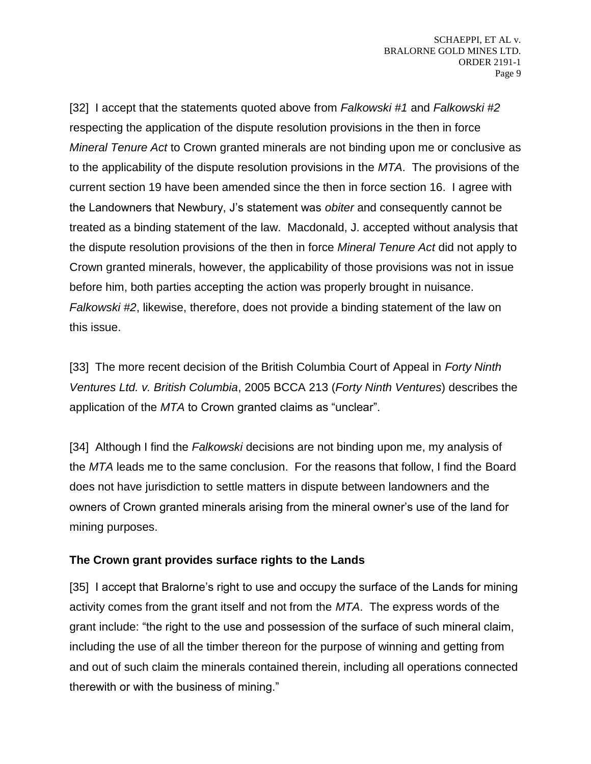[32] I accept that the statements quoted above from *Falkowski #1* and *Falkowski #2* respecting the application of the dispute resolution provisions in the then in force *Mineral Tenure Act* to Crown granted minerals are not binding upon me or conclusive as to the applicability of the dispute resolution provisions in the *MTA*. The provisions of the current section 19 have been amended since the then in force section 16. I agree with the Landowners that Newbury, J's statement was *obiter* and consequently cannot be treated as a binding statement of the law. Macdonald, J. accepted without analysis that the dispute resolution provisions of the then in force *Mineral Tenure Act* did not apply to Crown granted minerals, however, the applicability of those provisions was not in issue before him, both parties accepting the action was properly brought in nuisance. *Falkowski #2*, likewise, therefore, does not provide a binding statement of the law on this issue.

[33] The more recent decision of the British Columbia Court of Appeal in *Forty Ninth Ventures Ltd. v. British Columbia*, 2005 BCCA 213 (*Forty Ninth Ventures*) describes the application of the *MTA* to Crown granted claims as "unclear".

[34] Although I find the *Falkowski* decisions are not binding upon me, my analysis of the *MTA* leads me to the same conclusion. For the reasons that follow, I find the Board does not have jurisdiction to settle matters in dispute between landowners and the owners of Crown granted minerals arising from the mineral owner's use of the land for mining purposes.

# **The Crown grant provides surface rights to the Lands**

[35] I accept that Bralorne's right to use and occupy the surface of the Lands for mining activity comes from the grant itself and not from the *MTA*. The express words of the grant include: "the right to the use and possession of the surface of such mineral claim, including the use of all the timber thereon for the purpose of winning and getting from and out of such claim the minerals contained therein, including all operations connected therewith or with the business of mining."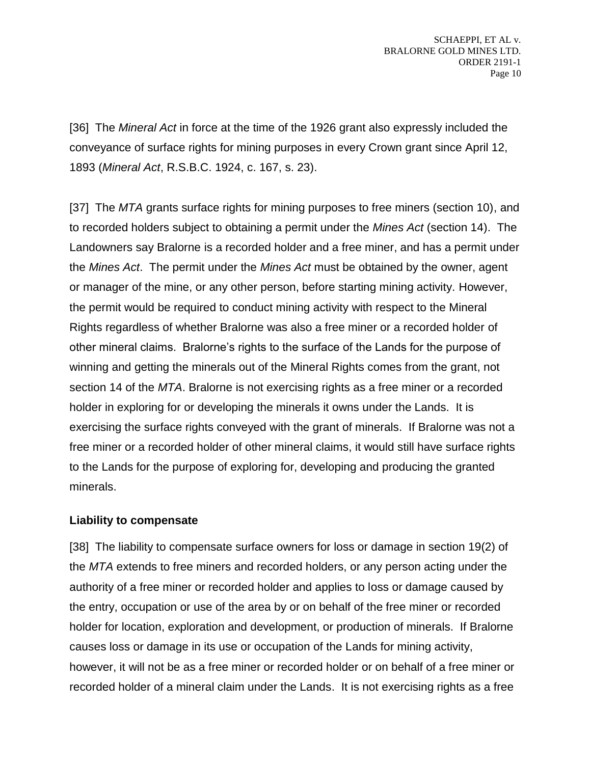[36] The *Mineral Act* in force at the time of the 1926 grant also expressly included the conveyance of surface rights for mining purposes in every Crown grant since April 12, 1893 (*Mineral Act*, R.S.B.C. 1924, c. 167, s. 23).

[37] The *MTA* grants surface rights for mining purposes to free miners (section 10), and to recorded holders subject to obtaining a permit under the *Mines Act* (section 14). The Landowners say Bralorne is a recorded holder and a free miner, and has a permit under the *Mines Act*. The permit under the *Mines Act* must be obtained by the owner, agent or manager of the mine, or any other person, before starting mining activity. However, the permit would be required to conduct mining activity with respect to the Mineral Rights regardless of whether Bralorne was also a free miner or a recorded holder of other mineral claims. Bralorne's rights to the surface of the Lands for the purpose of winning and getting the minerals out of the Mineral Rights comes from the grant, not section 14 of the *MTA*. Bralorne is not exercising rights as a free miner or a recorded holder in exploring for or developing the minerals it owns under the Lands. It is exercising the surface rights conveyed with the grant of minerals. If Bralorne was not a free miner or a recorded holder of other mineral claims, it would still have surface rights to the Lands for the purpose of exploring for, developing and producing the granted minerals.

#### **Liability to compensate**

[38] The liability to compensate surface owners for loss or damage in section 19(2) of the *MTA* extends to free miners and recorded holders, or any person acting under the authority of a free miner or recorded holder and applies to loss or damage caused by the entry, occupation or use of the area by or on behalf of the free miner or recorded holder for location, exploration and development, or production of minerals. If Bralorne causes loss or damage in its use or occupation of the Lands for mining activity, however, it will not be as a free miner or recorded holder or on behalf of a free miner or recorded holder of a mineral claim under the Lands. It is not exercising rights as a free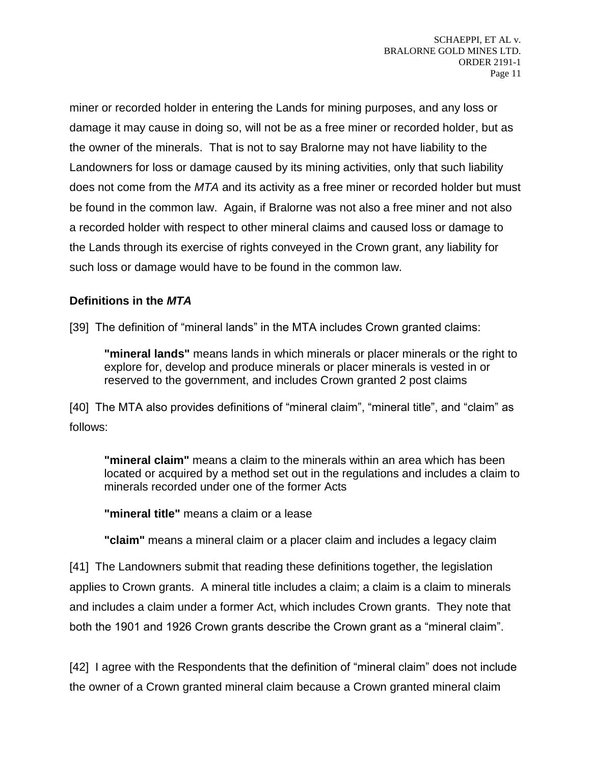miner or recorded holder in entering the Lands for mining purposes, and any loss or damage it may cause in doing so, will not be as a free miner or recorded holder, but as the owner of the minerals. That is not to say Bralorne may not have liability to the Landowners for loss or damage caused by its mining activities, only that such liability does not come from the *MTA* and its activity as a free miner or recorded holder but must be found in the common law. Again, if Bralorne was not also a free miner and not also a recorded holder with respect to other mineral claims and caused loss or damage to the Lands through its exercise of rights conveyed in the Crown grant, any liability for such loss or damage would have to be found in the common law.

# **Definitions in the** *MTA*

[39] The definition of "mineral lands" in the MTA includes Crown granted claims:

**"mineral lands"** means lands in which minerals or placer minerals or the right to explore for, develop and produce minerals or placer minerals is vested in or reserved to the government, and includes Crown granted 2 post claims

[40] The MTA also provides definitions of "mineral claim", "mineral title", and "claim" as follows:

**"mineral claim"** means a claim to the minerals within an area which has been located or acquired by a method set out in the regulations and includes a claim to minerals recorded under one of the former Acts

**"mineral title"** means a claim or a lease

**"claim"** means a mineral claim or a placer claim and includes a legacy claim

[41] The Landowners submit that reading these definitions together, the legislation applies to Crown grants. A mineral title includes a claim; a claim is a claim to minerals and includes a claim under a former Act, which includes Crown grants. They note that both the 1901 and 1926 Crown grants describe the Crown grant as a "mineral claim".

[42] I agree with the Respondents that the definition of "mineral claim" does not include the owner of a Crown granted mineral claim because a Crown granted mineral claim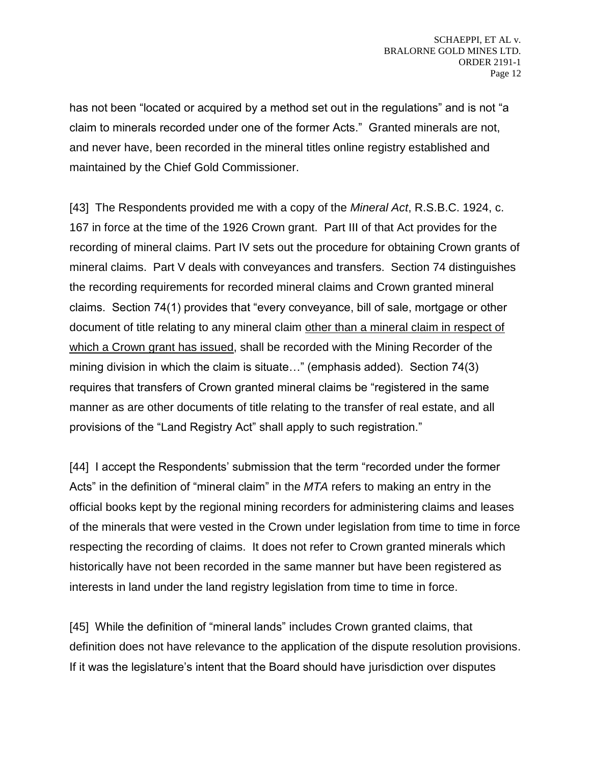has not been "located or acquired by a method set out in the regulations" and is not "a claim to minerals recorded under one of the former Acts." Granted minerals are not, and never have, been recorded in the mineral titles online registry established and maintained by the Chief Gold Commissioner.

[43] The Respondents provided me with a copy of the *Mineral Act*, R.S.B.C. 1924, c. 167 in force at the time of the 1926 Crown grant. Part III of that Act provides for the recording of mineral claims. Part IV sets out the procedure for obtaining Crown grants of mineral claims. Part V deals with conveyances and transfers. Section 74 distinguishes the recording requirements for recorded mineral claims and Crown granted mineral claims. Section 74(1) provides that "every conveyance, bill of sale, mortgage or other document of title relating to any mineral claim other than a mineral claim in respect of which a Crown grant has issued, shall be recorded with the Mining Recorder of the mining division in which the claim is situate…" (emphasis added). Section 74(3) requires that transfers of Crown granted mineral claims be "registered in the same manner as are other documents of title relating to the transfer of real estate, and all provisions of the "Land Registry Act" shall apply to such registration."

[44] I accept the Respondents' submission that the term "recorded under the former Acts" in the definition of "mineral claim" in the *MTA* refers to making an entry in the official books kept by the regional mining recorders for administering claims and leases of the minerals that were vested in the Crown under legislation from time to time in force respecting the recording of claims. It does not refer to Crown granted minerals which historically have not been recorded in the same manner but have been registered as interests in land under the land registry legislation from time to time in force.

[45] While the definition of "mineral lands" includes Crown granted claims, that definition does not have relevance to the application of the dispute resolution provisions. If it was the legislature's intent that the Board should have jurisdiction over disputes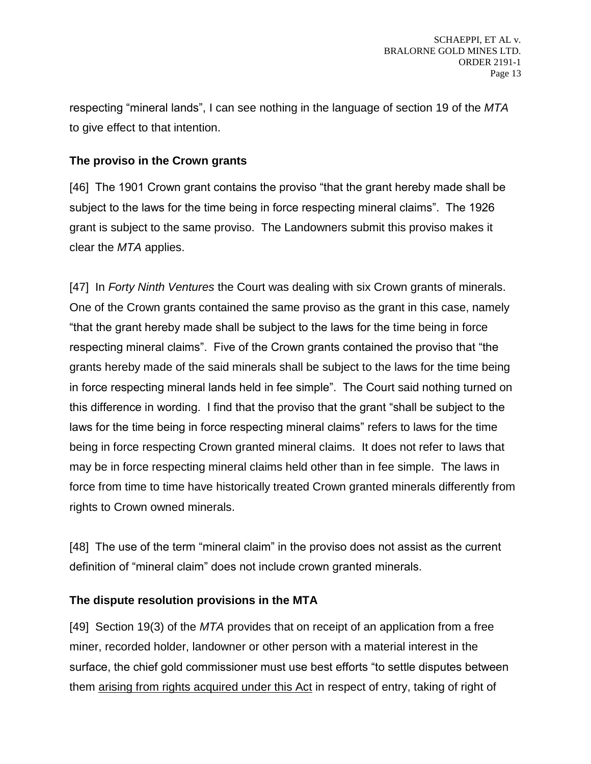respecting "mineral lands", I can see nothing in the language of section 19 of the *MTA* to give effect to that intention.

# **The proviso in the Crown grants**

[46] The 1901 Crown grant contains the proviso "that the grant hereby made shall be subject to the laws for the time being in force respecting mineral claims". The 1926 grant is subject to the same proviso. The Landowners submit this proviso makes it clear the *MTA* applies.

[47] In *Forty Ninth Ventures* the Court was dealing with six Crown grants of minerals. One of the Crown grants contained the same proviso as the grant in this case, namely "that the grant hereby made shall be subject to the laws for the time being in force respecting mineral claims". Five of the Crown grants contained the proviso that "the grants hereby made of the said minerals shall be subject to the laws for the time being in force respecting mineral lands held in fee simple". The Court said nothing turned on this difference in wording. I find that the proviso that the grant "shall be subject to the laws for the time being in force respecting mineral claims" refers to laws for the time being in force respecting Crown granted mineral claims. It does not refer to laws that may be in force respecting mineral claims held other than in fee simple. The laws in force from time to time have historically treated Crown granted minerals differently from rights to Crown owned minerals.

[48] The use of the term "mineral claim" in the proviso does not assist as the current definition of "mineral claim" does not include crown granted minerals.

# **The dispute resolution provisions in the MTA**

[49] Section 19(3) of the *MTA* provides that on receipt of an application from a free miner, recorded holder, landowner or other person with a material interest in the surface, the chief gold commissioner must use best efforts "to settle disputes between them arising from rights acquired under this Act in respect of entry, taking of right of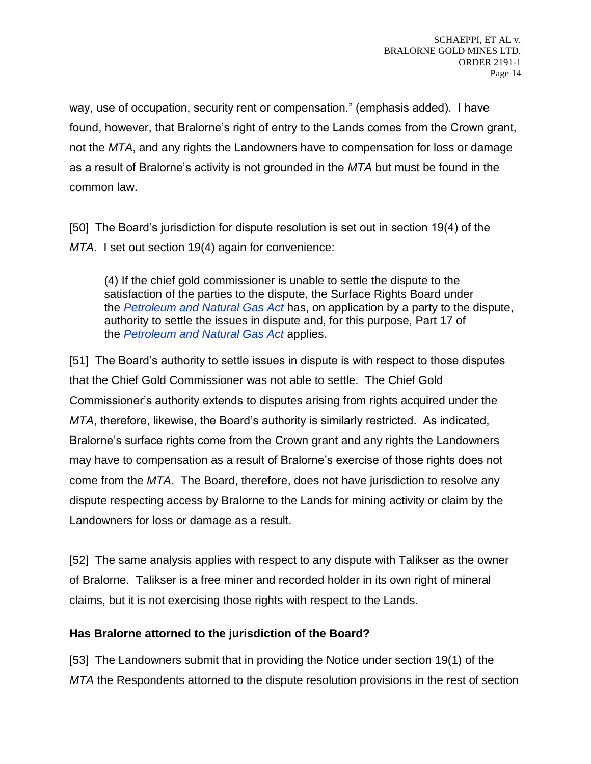way, use of occupation, security rent or compensation." (emphasis added). I have found, however, that Bralorne's right of entry to the Lands comes from the Crown grant, not the *MTA*, and any rights the Landowners have to compensation for loss or damage as a result of Bralorne's activity is not grounded in the *MTA* but must be found in the common law.

[50] The Board's jurisdiction for dispute resolution is set out in section 19(4) of the *MTA*. I set out section 19(4) again for convenience:

(4) If the chief gold commissioner is unable to settle the dispute to the satisfaction of the parties to the dispute, the Surface Rights Board under the *[Petroleum and Natural Gas Act](https://www.bclaws.gov.bc.ca/civix/document/id/complete/statreg/96361_01)* has, on application by a party to the dispute, authority to settle the issues in dispute and, for this purpose, Part 17 of the *[Petroleum and Natural Gas Act](https://www.bclaws.gov.bc.ca/civix/document/id/complete/statreg/96361_01)* applies.

[51] The Board's authority to settle issues in dispute is with respect to those disputes that the Chief Gold Commissioner was not able to settle. The Chief Gold Commissioner's authority extends to disputes arising from rights acquired under the *MTA*, therefore, likewise, the Board's authority is similarly restricted. As indicated, Bralorne's surface rights come from the Crown grant and any rights the Landowners may have to compensation as a result of Bralorne's exercise of those rights does not come from the *MTA*. The Board, therefore, does not have jurisdiction to resolve any dispute respecting access by Bralorne to the Lands for mining activity or claim by the Landowners for loss or damage as a result.

[52] The same analysis applies with respect to any dispute with Talikser as the owner of Bralorne. Talikser is a free miner and recorded holder in its own right of mineral claims, but it is not exercising those rights with respect to the Lands.

# **Has Bralorne attorned to the jurisdiction of the Board?**

[53] The Landowners submit that in providing the Notice under section 19(1) of the *MTA* the Respondents attorned to the dispute resolution provisions in the rest of section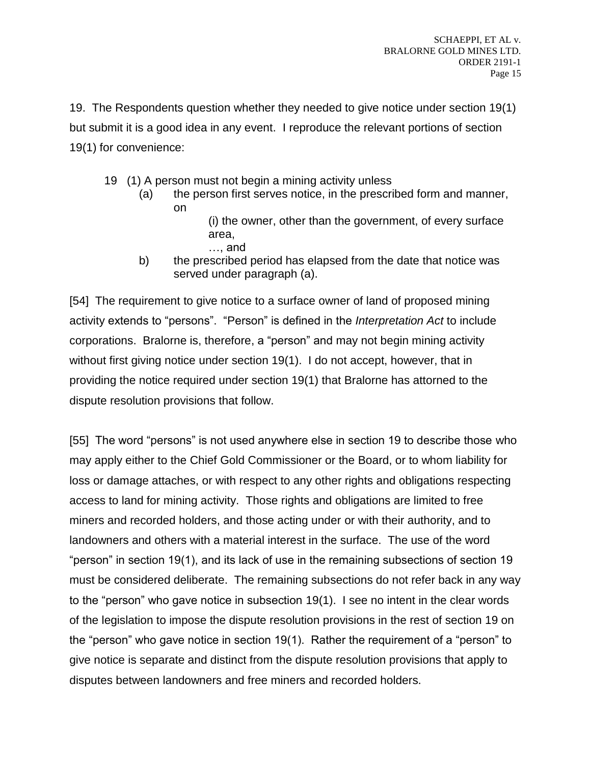19. The Respondents question whether they needed to give notice under section 19(1) but submit it is a good idea in any event. I reproduce the relevant portions of section 19(1) for convenience:

- 19 (1) A person must not begin a mining activity unless
	- (a) the person first serves notice, in the prescribed form and manner, on
		- (i) the owner, other than the government, of every surface area, …, and
	- b) the prescribed period has elapsed from the date that notice was served under paragraph (a).

[54] The requirement to give notice to a surface owner of land of proposed mining activity extends to "persons". "Person" is defined in the *Interpretation Act* to include corporations. Bralorne is, therefore, a "person" and may not begin mining activity without first giving notice under section 19(1). I do not accept, however, that in providing the notice required under section 19(1) that Bralorne has attorned to the dispute resolution provisions that follow.

[55] The word "persons" is not used anywhere else in section 19 to describe those who may apply either to the Chief Gold Commissioner or the Board, or to whom liability for loss or damage attaches, or with respect to any other rights and obligations respecting access to land for mining activity. Those rights and obligations are limited to free miners and recorded holders, and those acting under or with their authority, and to landowners and others with a material interest in the surface. The use of the word "person" in section 19(1), and its lack of use in the remaining subsections of section 19 must be considered deliberate. The remaining subsections do not refer back in any way to the "person" who gave notice in subsection 19(1). I see no intent in the clear words of the legislation to impose the dispute resolution provisions in the rest of section 19 on the "person" who gave notice in section 19(1). Rather the requirement of a "person" to give notice is separate and distinct from the dispute resolution provisions that apply to disputes between landowners and free miners and recorded holders.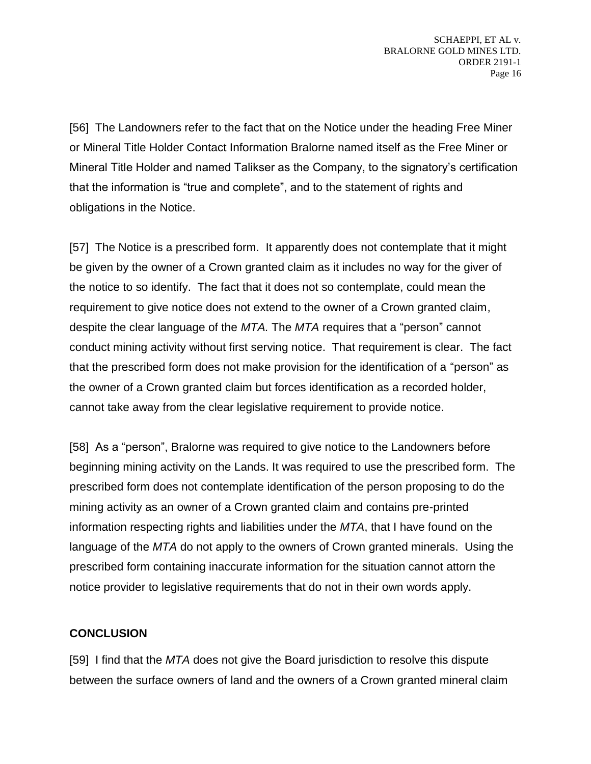[56] The Landowners refer to the fact that on the Notice under the heading Free Miner or Mineral Title Holder Contact Information Bralorne named itself as the Free Miner or Mineral Title Holder and named Talikser as the Company, to the signatory's certification that the information is "true and complete", and to the statement of rights and obligations in the Notice.

[57] The Notice is a prescribed form. It apparently does not contemplate that it might be given by the owner of a Crown granted claim as it includes no way for the giver of the notice to so identify. The fact that it does not so contemplate, could mean the requirement to give notice does not extend to the owner of a Crown granted claim, despite the clear language of the *MTA.* The *MTA* requires that a "person" cannot conduct mining activity without first serving notice. That requirement is clear. The fact that the prescribed form does not make provision for the identification of a "person" as the owner of a Crown granted claim but forces identification as a recorded holder, cannot take away from the clear legislative requirement to provide notice.

[58] As a "person", Bralorne was required to give notice to the Landowners before beginning mining activity on the Lands. It was required to use the prescribed form. The prescribed form does not contemplate identification of the person proposing to do the mining activity as an owner of a Crown granted claim and contains pre-printed information respecting rights and liabilities under the *MTA*, that I have found on the language of the *MTA* do not apply to the owners of Crown granted minerals. Using the prescribed form containing inaccurate information for the situation cannot attorn the notice provider to legislative requirements that do not in their own words apply.

# **CONCLUSION**

[59] I find that the *MTA* does not give the Board jurisdiction to resolve this dispute between the surface owners of land and the owners of a Crown granted mineral claim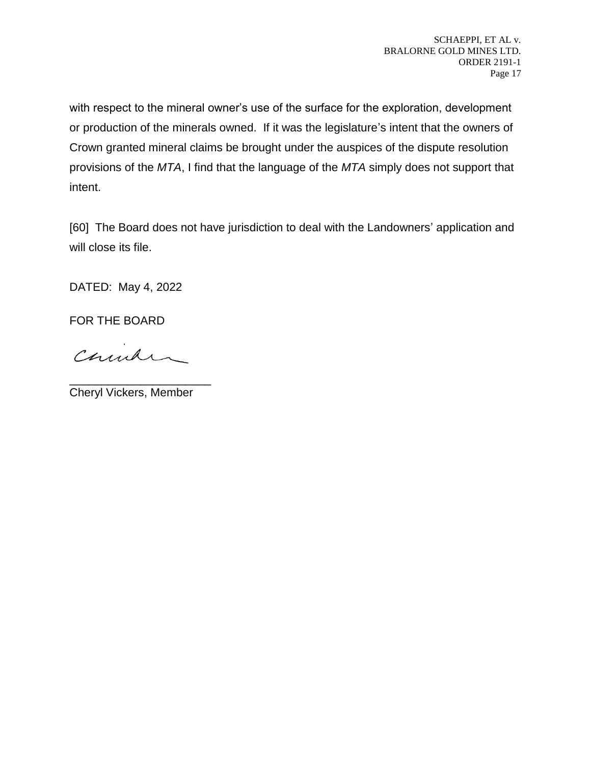with respect to the mineral owner's use of the surface for the exploration, development or production of the minerals owned. If it was the legislature's intent that the owners of Crown granted mineral claims be brought under the auspices of the dispute resolution provisions of the *MTA*, I find that the language of the *MTA* simply does not support that intent.

[60] The Board does not have jurisdiction to deal with the Landowners' application and will close its file.

DATED: May 4, 2022

FOR THE BOARD

Church

\_\_\_\_\_\_\_\_\_\_\_\_\_\_\_\_\_\_\_\_\_\_ Cheryl Vickers, Member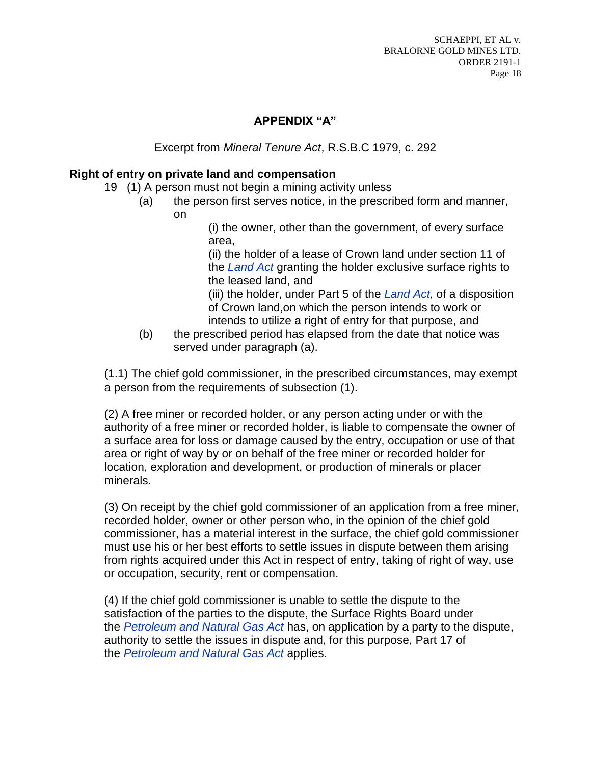### **APPENDIX "A"**

Excerpt from *Mineral Tenure Act*, R.S.B.C 1979, c. 292

#### **Right of entry on private land and compensation**

- 19 (1) A person must not begin a mining activity unless
	- (a) the person first serves notice, in the prescribed form and manner,
		- on

(i) the owner, other than the government, of every surface area,

(ii) the holder of a lease of Crown land under section 11 of the *[Land Act](https://www.bclaws.gov.bc.ca/civix/document/id/complete/statreg/96245_01)* granting the holder exclusive surface rights to the leased land, and

(iii) the holder, under Part 5 of the *[Land Act](https://www.bclaws.gov.bc.ca/civix/document/id/complete/statreg/96245_01)*, of a disposition of Crown land,on which the person intends to work or intends to utilize a right of entry for that purpose, and

(b) the prescribed period has elapsed from the date that notice was served under paragraph (a).

(1.1) The chief gold commissioner, in the prescribed circumstances, may exempt a person from the requirements of subsection (1).

(2) A free miner or recorded holder, or any person acting under or with the authority of a free miner or recorded holder, is liable to compensate the owner of a surface area for loss or damage caused by the entry, occupation or use of that area or right of way by or on behalf of the free miner or recorded holder for location, exploration and development, or production of minerals or placer minerals.

(3) On receipt by the chief gold commissioner of an application from a free miner, recorded holder, owner or other person who, in the opinion of the chief gold commissioner, has a material interest in the surface, the chief gold commissioner must use his or her best efforts to settle issues in dispute between them arising from rights acquired under this Act in respect of entry, taking of right of way, use or occupation, security, rent or compensation.

(4) If the chief gold commissioner is unable to settle the dispute to the satisfaction of the parties to the dispute, the Surface Rights Board under the *[Petroleum and Natural Gas Act](https://www.bclaws.gov.bc.ca/civix/document/id/complete/statreg/96361_01)* has, on application by a party to the dispute, authority to settle the issues in dispute and, for this purpose, Part 17 of the *[Petroleum and Natural Gas Act](https://www.bclaws.gov.bc.ca/civix/document/id/complete/statreg/96361_01)* applies.